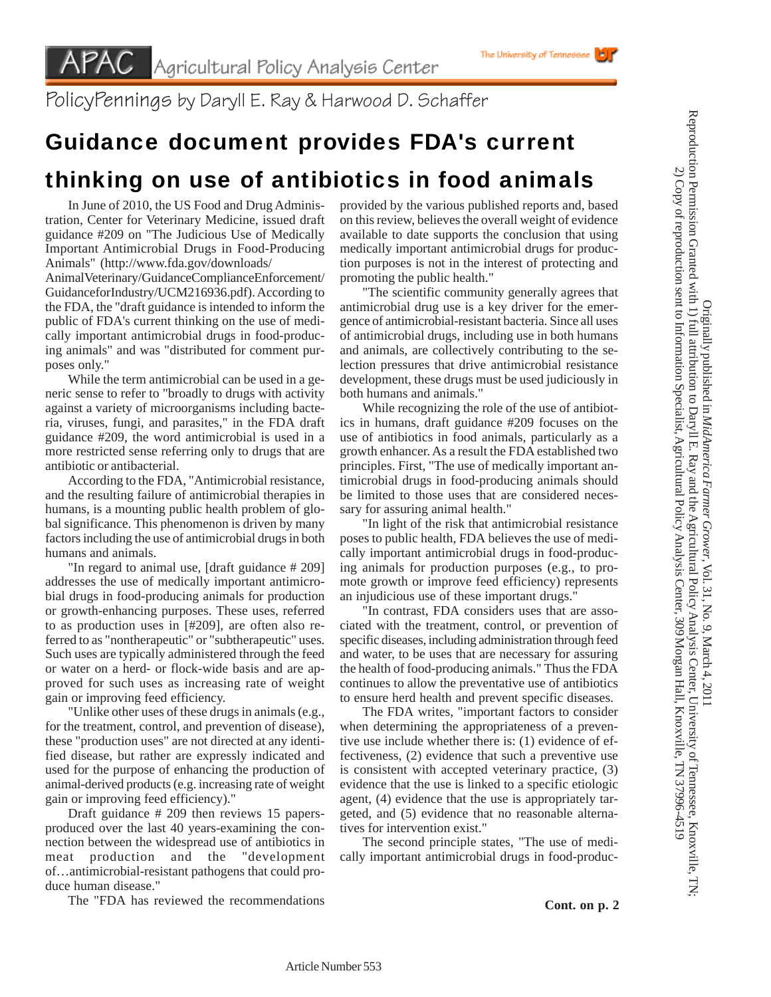PolicyPennings by Daryll E. Ray & Harwood D. Schaffer

## Guidance document provides FDA's current thinking on use of antibiotics in food animals

In June of 2010, the US Food and Drug Administration, Center for Veterinary Medicine, issued draft guidance #209 on "The Judicious Use of Medically Important Antimicrobial Drugs in Food-Producing Animals" (http://www.fda.gov/downloads/

AnimalVeterinary/GuidanceComplianceEnforcement/ GuidanceforIndustry/UCM216936.pdf). According to the FDA, the "draft guidance is intended to inform the public of FDA's current thinking on the use of medically important antimicrobial drugs in food-producing animals" and was "distributed for comment purposes only."

While the term antimicrobial can be used in a generic sense to refer to "broadly to drugs with activity against a variety of microorganisms including bacteria, viruses, fungi, and parasites," in the FDA draft guidance #209, the word antimicrobial is used in a more restricted sense referring only to drugs that are antibiotic or antibacterial.

According to the FDA, "Antimicrobial resistance, and the resulting failure of antimicrobial therapies in humans, is a mounting public health problem of global significance. This phenomenon is driven by many factors including the use of antimicrobial drugs in both humans and animals.

"In regard to animal use, [draft guidance # 209] addresses the use of medically important antimicrobial drugs in food-producing animals for production or growth-enhancing purposes. These uses, referred to as production uses in [#209], are often also referred to as "nontherapeutic" or "subtherapeutic" uses. Such uses are typically administered through the feed or water on a herd- or flock-wide basis and are approved for such uses as increasing rate of weight gain or improving feed efficiency.

"Unlike other uses of these drugs in animals (e.g., for the treatment, control, and prevention of disease), these "production uses" are not directed at any identified disease, but rather are expressly indicated and used for the purpose of enhancing the production of animal-derived products (e.g. increasing rate of weight gain or improving feed efficiency)."

Draft guidance # 209 then reviews 15 papersproduced over the last 40 years-examining the connection between the widespread use of antibiotics in meat production and the "development of…antimicrobial-resistant pathogens that could produce human disease."

The "FDA has reviewed the recommendations

provided by the various published reports and, based on this review, believes the overall weight of evidence available to date supports the conclusion that using medically important antimicrobial drugs for production purposes is not in the interest of protecting and promoting the public health."

"The scientific community generally agrees that antimicrobial drug use is a key driver for the emergence of antimicrobial-resistant bacteria. Since all uses of antimicrobial drugs, including use in both humans and animals, are collectively contributing to the selection pressures that drive antimicrobial resistance development, these drugs must be used judiciously in both humans and animals."

While recognizing the role of the use of antibiotics in humans, draft guidance #209 focuses on the use of antibiotics in food animals, particularly as a growth enhancer. As a result the FDA established two principles. First, "The use of medically important antimicrobial drugs in food-producing animals should be limited to those uses that are considered necessary for assuring animal health."

"In light of the risk that antimicrobial resistance poses to public health, FDA believes the use of medically important antimicrobial drugs in food-producing animals for production purposes (e.g., to promote growth or improve feed efficiency) represents an injudicious use of these important drugs."

"In contrast, FDA considers uses that are associated with the treatment, control, or prevention of specific diseases, including administration through feed and water, to be uses that are necessary for assuring the health of food-producing animals." Thus the FDA continues to allow the preventative use of antibiotics to ensure herd health and prevent specific diseases.

The FDA writes, "important factors to consider when determining the appropriateness of a preventive use include whether there is: (1) evidence of effectiveness, (2) evidence that such a preventive use is consistent with accepted veterinary practice, (3) evidence that the use is linked to a specific etiologic agent, (4) evidence that the use is appropriately targeted, and (5) evidence that no reasonable alternatives for intervention exist."

The second principle states, "The use of medically important antimicrobial drugs in food-produc-